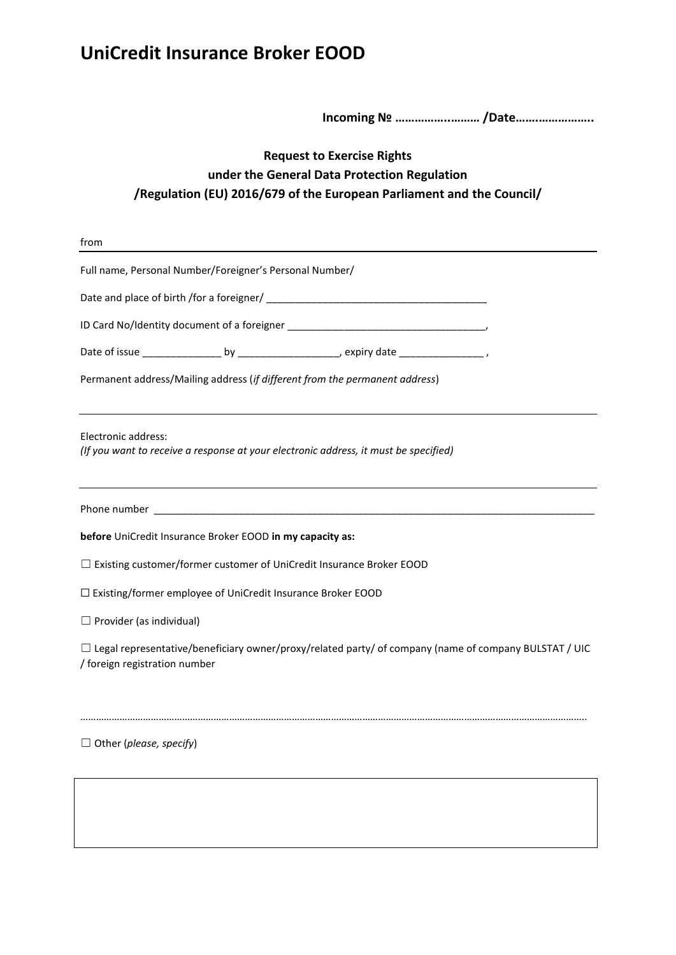# **UniCredit Insurance Broker ЕООD**

 **Incoming № ……………..……… /Date…….……………..**

### **Request to Exercise Rights under the General Data Protection Regulation /Regulation (EU) 2016/679 of the European Parliament and the Council/**

| from                                                                                                                                          |
|-----------------------------------------------------------------------------------------------------------------------------------------------|
| Full name, Personal Number/Foreigner's Personal Number/                                                                                       |
|                                                                                                                                               |
|                                                                                                                                               |
|                                                                                                                                               |
| Permanent address/Mailing address (if different from the permanent address)                                                                   |
| Electronic address:<br>(If you want to receive a response at your electronic address, it must be specified)                                   |
|                                                                                                                                               |
| before UniCredit Insurance Broker EOOD in my capacity as:                                                                                     |
| $\Box$ Existing customer/former customer of UniCredit Insurance Broker EOOD                                                                   |
| □ Existing/former employee of UniCredit Insurance Broker EOOD                                                                                 |
| $\Box$ Provider (as individual)                                                                                                               |
| $\Box$ Legal representative/beneficiary owner/proxy/related party/ of company (name of company BULSTAT / UIC<br>/ foreign registration number |
| $\Box$ Other (please, specify)                                                                                                                |